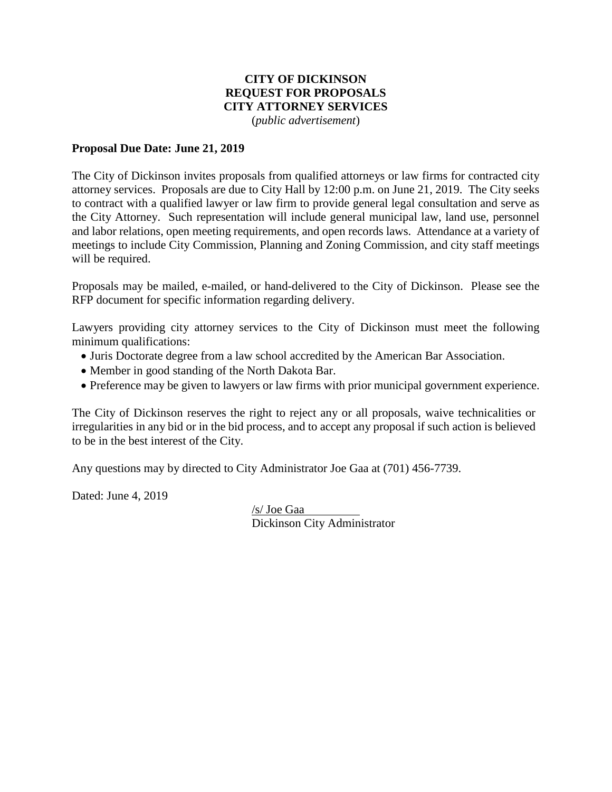# **CITY OF DICKINSON REQUEST FOR PROPOSALS CITY ATTORNEY SERVICES**

(*public advertisement*)

#### **Proposal Due Date: June 21, 2019**

The City of Dickinson invites proposals from qualified attorneys or law firms for contracted city attorney services. Proposals are due to City Hall by 12:00 p.m. on June 21, 2019. The City seeks to contract with a qualified lawyer or law firm to provide general legal consultation and serve as the City Attorney. Such representation will include general municipal law, land use, personnel and labor relations, open meeting requirements, and open records laws. Attendance at a variety of meetings to include City Commission, Planning and Zoning Commission, and city staff meetings will be required.

Proposals may be mailed, e-mailed, or hand-delivered to the City of Dickinson. Please see the RFP document for specific information regarding delivery.

Lawyers providing city attorney services to the City of Dickinson must meet the following minimum qualifications:

- Juris Doctorate degree from a law school accredited by the American Bar Association.
- Member in good standing of the North Dakota Bar.
- Preference may be given to lawyers or law firms with prior municipal government experience.

The City of Dickinson reserves the right to reject any or all proposals, waive technicalities or irregularities in any bid or in the bid process, and to accept any proposal if such action is believed to be in the best interest of the City.

Any questions may by directed to City Administrator Joe Gaa at (701) 456-7739.

Dated: June 4, 2019

/s/ Joe Gaa Dickinson City Administrator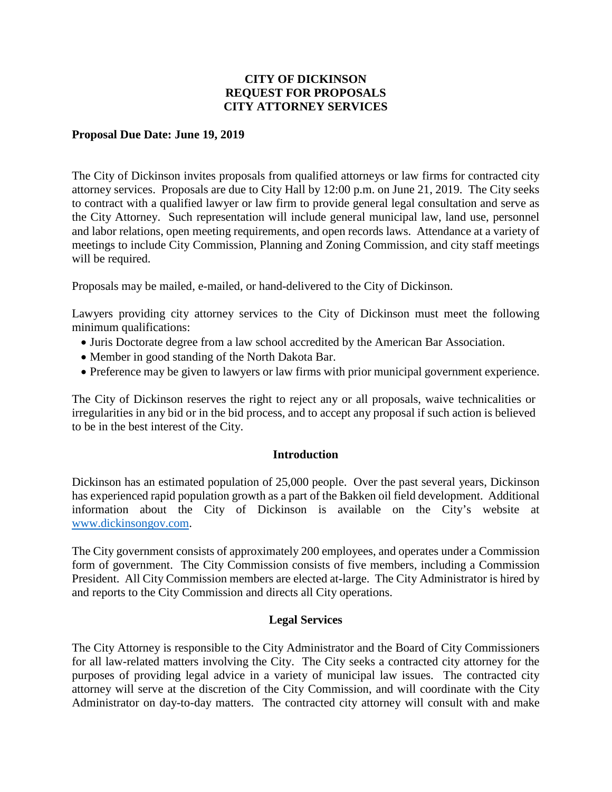### **CITY OF DICKINSON REQUEST FOR PROPOSALS CITY ATTORNEY SERVICES**

#### **Proposal Due Date: June 19, 2019**

The City of Dickinson invites proposals from qualified attorneys or law firms for contracted city attorney services. Proposals are due to City Hall by 12:00 p.m. on June 21, 2019. The City seeks to contract with a qualified lawyer or law firm to provide general legal consultation and serve as the City Attorney. Such representation will include general municipal law, land use, personnel and labor relations, open meeting requirements, and open records laws. Attendance at a variety of meetings to include City Commission, Planning and Zoning Commission, and city staff meetings will be required.

Proposals may be mailed, e-mailed, or hand-delivered to the City of Dickinson.

Lawyers providing city attorney services to the City of Dickinson must meet the following minimum qualifications:

- Juris Doctorate degree from a law school accredited by the American Bar Association.
- Member in good standing of the North Dakota Bar.
- Preference may be given to lawyers or law firms with prior municipal government experience.

The City of Dickinson reserves the right to reject any or all proposals, waive technicalities or irregularities in any bid or in the bid process, and to accept any proposal if such action is believed to be in the best interest of the City.

#### **Introduction**

Dickinson has an estimated population of 25,000 people. Over the past several years, Dickinson has experienced rapid population growth as a part of the Bakken oil field development. Additional information about the City of Dickinson is available on the City's website at [www.dickinsongov.com.](http://www.dickinsongov.com/)

The City government consists of approximately 200 employees, and operates under a Commission form of government. The City Commission consists of five members, including a Commission President. All City Commission members are elected at-large. The City Administrator is hired by and reports to the City Commission and directs all City operations.

#### **Legal Services**

The City Attorney is responsible to the City Administrator and the Board of City Commissioners for all law-related matters involving the City. The City seeks a contracted city attorney for the purposes of providing legal advice in a variety of municipal law issues. The contracted city attorney will serve at the discretion of the City Commission, and will coordinate with the City Administrator on day-to-day matters. The contracted city attorney will consult with and make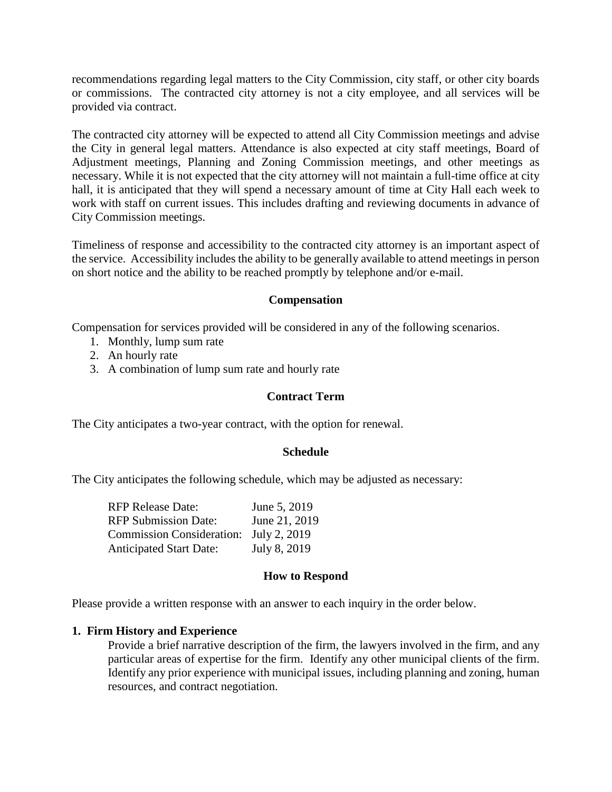recommendations regarding legal matters to the City Commission, city staff, or other city boards or commissions. The contracted city attorney is not a city employee, and all services will be provided via contract.

The contracted city attorney will be expected to attend all City Commission meetings and advise the City in general legal matters. Attendance is also expected at city staff meetings, Board of Adjustment meetings, Planning and Zoning Commission meetings, and other meetings as necessary. While it is not expected that the city attorney will not maintain a full-time office at city hall, it is anticipated that they will spend a necessary amount of time at City Hall each week to work with staff on current issues. This includes drafting and reviewing documents in advance of City Commission meetings.

Timeliness of response and accessibility to the contracted city attorney is an important aspect of the service. Accessibility includes the ability to be generally available to attend meetings in person on short notice and the ability to be reached promptly by telephone and/or e-mail.

#### **Compensation**

Compensation for services provided will be considered in any of the following scenarios.

- 1. Monthly, lump sum rate
- 2. An hourly rate
- 3. A combination of lump sum rate and hourly rate

#### **Contract Term**

The City anticipates a two-year contract, with the option for renewal.

#### **Schedule**

The City anticipates the following schedule, which may be adjusted as necessary:

| <b>RFP Release Date:</b>               | June 5, 2019  |
|----------------------------------------|---------------|
| <b>RFP Submission Date:</b>            | June 21, 2019 |
| Commission Consideration: July 2, 2019 |               |
| <b>Anticipated Start Date:</b>         | July 8, 2019  |

# **How to Respond**

Please provide a written response with an answer to each inquiry in the order below.

# **1. Firm History and Experience**

Provide a brief narrative description of the firm, the lawyers involved in the firm, and any particular areas of expertise for the firm. Identify any other municipal clients of the firm. Identify any prior experience with municipal issues, including planning and zoning, human resources, and contract negotiation.